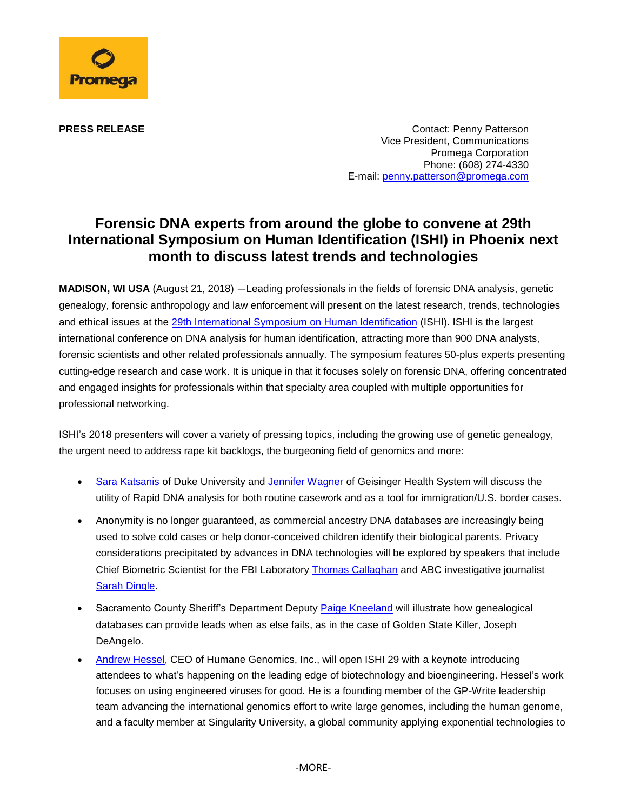

**PRESS RELEASE CONTACT CONTACT CONTACT CONTACT PERSS RELEASE** Vice President, Communications Promega Corporation Phone: (608) 274-4330 E-mail: [penny.patterson@promega.com](mailto:penny.patterson@promega.com)

## **Forensic DNA experts from around the globe to convene at 29th International Symposium on Human Identification (ISHI) in Phoenix next month to discuss latest trends and technologies**

**MADISON, WI USA** (August 21, 2018) —Leading professionals in the fields of forensic DNA analysis, genetic genealogy, forensic anthropology and law enforcement will present on the latest research, trends, technologies and ethical issues at the [29th International Symposium on Human Identification](http://www.ishinews.com/) (ISHI). ISHI is the largest international conference on DNA analysis for human identification, attracting more than 900 DNA analysts, forensic scientists and other related professionals annually. The symposium features 50-plus experts presenting cutting-edge research and case work. It is unique in that it focuses solely on forensic DNA, offering concentrated and engaged insights for professionals within that specialty area coupled with multiple opportunities for professional networking.

ISHI's 2018 presenters will cover a variety of pressing topics, including the growing use of genetic genealogy, the urgent need to address rape kit backlogs, the burgeoning field of genomics and more:

- Sara [Katsanis](https://www.ishinews.com/speakers/sara-katsanis/) of Duke University and [Jennifer Wagner](https://www.ishinews.com/speakers/jennifer-wagner/) of Geisinger Health System will discuss the utility of Rapid DNA analysis for both routine casework and as a tool for immigration/U.S. border cases.
- Anonymity is no longer guaranteed, as commercial ancestry DNA databases are increasingly being used to solve cold cases or help donor-conceived children identify their biological parents. Privacy considerations precipitated by advances in DNA technologies will be explored by speakers that include Chief Biometric Scientist for the FBI Laboratory [Thomas Callaghan](https://www.ishinews.com/speakers/thomas-callaghan/) and ABC investigative journalist [Sarah Dingle.](https://www.ishinews.com/speakers/sarah-dingle/)
- Sacramento County Sheriff's Department Deputy [Paige Kneeland](https://www.ishinews.com/speakers/paige-kneeland/) will illustrate how genealogical databases can provide leads when as else fails, as in the case of Golden State Killer, Joseph DeAngelo.
- [Andrew Hessel,](https://www.ishinews.com/speakers/andrew-hessel/) CEO of Humane Genomics, Inc., will open ISHI 29 with a keynote introducing attendees to what's happening on the leading edge of biotechnology and bioengineering. Hessel's work focuses on using engineered viruses for good. He is a founding member of the GP-Write leadership team advancing the international genomics effort to write large genomes, including the human genome, and a faculty member at Singularity University, a global community applying exponential technologies to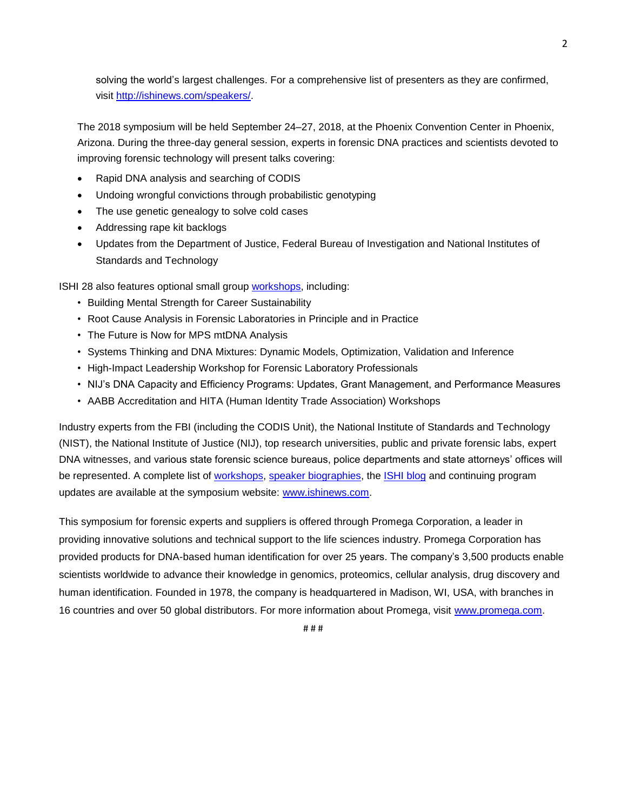solving the world's largest challenges. For a comprehensive list of presenters as they are confirmed, visit [http://ishinews.com/speakers/.](http://ishinews.com/speakers/)

The 2018 symposium will be held September 24–27, 2018, at the Phoenix Convention Center in Phoenix, Arizona. During the three-day general session, experts in forensic DNA practices and scientists devoted to improving forensic technology will present talks covering:

- Rapid DNA analysis and searching of CODIS
- Undoing wrongful convictions through probabilistic genotyping
- The use genetic genealogy to solve cold cases
- Addressing rape kit backlogs
- Updates from the Department of Justice, Federal Bureau of Investigation and National Institutes of Standards and Technology

ISHI 28 also features optional small group [workshops,](https://www.ishinews.com/agenda/) including:

- Building Mental Strength for Career Sustainability
- Root Cause Analysis in Forensic Laboratories in Principle and in Practice
- The Future is Now for MPS mtDNA Analysis
- Systems Thinking and DNA Mixtures: Dynamic Models, Optimization, Validation and Inference
- High-Impact Leadership Workshop for Forensic Laboratory Professionals
- NIJ's DNA Capacity and Efficiency Programs: Updates, Grant Management, and Performance Measures
- AABB Accreditation and HITA (Human Identity Trade Association) Workshops

Industry experts from the FBI (including the CODIS Unit), the National Institute of Standards and Technology (NIST), the National Institute of Justice (NIJ), top research universities, public and private forensic labs, expert DNA witnesses, and various state forensic science bureaus, police departments and state attorneys' offices will be represented. A complete list of [workshops,](https://www.ishinews.com/agenda/) [speaker biographies,](https://www.ishinews.com/speakers/) the [ISHI blog](https://www.ishinews.com/news-press/blog/) and continuing program updates are available at the symposium website: [www.ishinews.com.](http://www.ishinews.com/)

This symposium for forensic experts and suppliers is offered through Promega Corporation, a leader in providing innovative solutions and technical support to the life sciences industry. Promega Corporation has provided products for DNA-based human identification for over 25 years. The company's 3,500 products enable scientists worldwide to advance their knowledge in genomics, proteomics, cellular analysis, drug discovery and human identification. Founded in 1978, the company is headquartered in Madison, WI, USA, with branches in 16 countries and over 50 global distributors. For more information about Promega, visit [www.promega.com.](http://www.promega.com/)

2

# # #